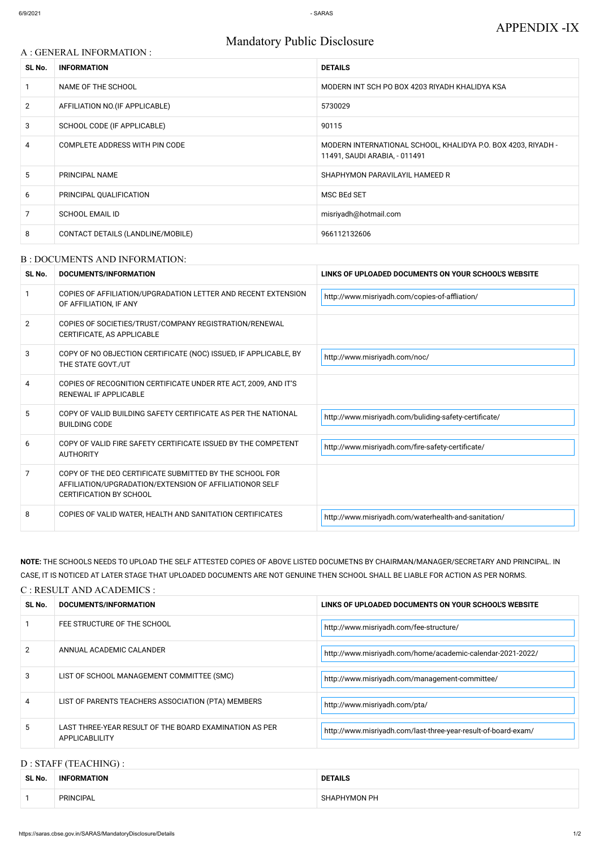# Mandatory Public Disclosure

| A : GENERAL INFORMATION : |                                   |                                                                                                |  |
|---------------------------|-----------------------------------|------------------------------------------------------------------------------------------------|--|
| SL No.                    | <b>INFORMATION</b>                | <b>DETAILS</b>                                                                                 |  |
|                           | NAME OF THE SCHOOL                | MODERN INT SCH PO BOX 4203 RIYADH KHALIDYA KSA                                                 |  |
| $\overline{2}$            | AFFILIATION NO. (IF APPLICABLE)   | 5730029                                                                                        |  |
| 3                         | SCHOOL CODE (IF APPLICABLE)       | 90115                                                                                          |  |
| 4                         | COMPLETE ADDRESS WITH PIN CODE    | MODERN INTERNATIONAL SCHOOL, KHALIDYA P.O. BOX 4203, RIYADH -<br>11491, SAUDI ARABIA, - 011491 |  |
| 5                         | PRINCIPAL NAME                    | SHAPHYMON PARAVILAYIL HAMEED R                                                                 |  |
| 6                         | PRINCIPAL QUALIFICATION           | <b>MSC BEd SET</b>                                                                             |  |
| $\overline{7}$            | <b>SCHOOL EMAIL ID</b>            | misriyadh@hotmail.com                                                                          |  |
| 8                         | CONTACT DETAILS (LANDLINE/MOBILE) | 966112132606                                                                                   |  |

#### B : DOCUMENTS AND INFORMATION:

| SL No.         | DOCUMENTS/INFORMATION                                                                                                                                | LINKS OF UPLOADED DOCUMENTS ON YOUR SCHOOL'S WEBSITE  |
|----------------|------------------------------------------------------------------------------------------------------------------------------------------------------|-------------------------------------------------------|
|                | COPIES OF AFFILIATION/UPGRADATION LETTER AND RECENT EXTENSION<br>OF AFFILIATION, IF ANY                                                              | http://www.misriyadh.com/copies-of-affliation/        |
| $\overline{2}$ | COPIES OF SOCIETIES/TRUST/COMPANY REGISTRATION/RENEWAL<br>CERTIFICATE, AS APPLICABLE                                                                 |                                                       |
| 3              | COPY OF NO OBJECTION CERTIFICATE (NOC) ISSUED, IF APPLICABLE, BY<br>THE STATE GOVT./UT                                                               | http://www.misriyadh.com/noc/                         |
| 4              | COPIES OF RECOGNITION CERTIFICATE UNDER RTE ACT, 2009, AND IT'S<br>RENEWAL IF APPLICABLE                                                             |                                                       |
| 5              | COPY OF VALID BUILDING SAFETY CERTIFICATE AS PER THE NATIONAL<br><b>BUILDING CODE</b>                                                                | http://www.misriyadh.com/buliding-safety-certificate/ |
| 6              | COPY OF VALID FIRE SAFETY CERTIFICATE ISSUED BY THE COMPETENT<br><b>AUTHORITY</b>                                                                    | http://www.misriyadh.com/fire-safety-certificate/     |
| 7              | COPY OF THE DEO CERTIFICATE SUBMITTED BY THE SCHOOL FOR<br>AFFILIATION/UPGRADATION/EXTENSION OF AFFILIATIONOR SELF<br><b>CERTIFICATION BY SCHOOL</b> |                                                       |
| 8              | COPIES OF VALID WATER, HEALTH AND SANITATION CERTIFICATES                                                                                            | http://www.misriyadh.com/waterhealth-and-sanitation/  |

**NOTE:** THE SCHOOLS NEEDS TO UPLOAD THE SELF ATTESTED COPIES OF ABOVE LISTED DOCUMETNS BY CHAIRMAN/MANAGER/SECRETARY AND PRINCIPAL. IN CASE, IT IS NOTICED AT LATER STAGE THAT UPLOADED DOCUMENTS ARE NOT GENUINE THEN SCHOOL SHALL BE LIABLE FOR ACTION AS PER NORMS.

#### C : RESULT AND ACADEMICS :

| SL No. | <b>DOCUMENTS/INFORMATION</b> | LINKS OF UPLOADED DOCUMENTS ON YOUR SCHOOL'S WEBSITE |  |
|--------|------------------------------|------------------------------------------------------|--|
|        | FEE STRUCTURE OF THE SCHOOL  | http://www.misriyadh.com/fee-structure/              |  |

| $\mathcal{P}$ | ANNUAL ACADEMIC CALANDER                                                 | http://www.misriyadh.com/home/academic-calendar-2021-2022/     |
|---------------|--------------------------------------------------------------------------|----------------------------------------------------------------|
|               | LIST OF SCHOOL MANAGEMENT COMMITTEE (SMC)                                | http://www.misriyadh.com/management-committee/                 |
|               | LIST OF PARENTS TEACHERS ASSOCIATION (PTA) MEMBERS                       | http://www.misriyadh.com/pta/                                  |
|               | LAST THREE-YEAR RESULT OF THE BOARD EXAMINATION AS PER<br>APPLICABLILITY | http://www.misriyadh.com/last-three-year-result-of-board-exam/ |

#### D : STAFF (TEACHING) :

| SL No. | _____<br><b>INFORMATION</b> | <b>DETAILS</b>      |
|--------|-----------------------------|---------------------|
|        | PRINCIPAL                   | <b>SHAPHYMON PH</b> |